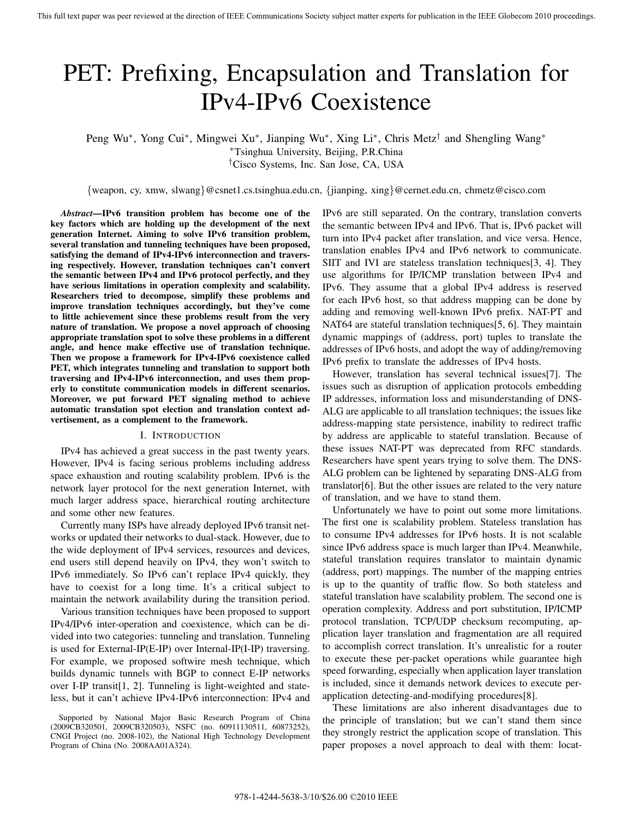# PET: Prefixing, Encapsulation and Translation for IPv4-IPv6 Coexistence

Peng Wu∗, Yong Cui∗, Mingwei Xu∗, Jianping Wu∗, Xing Li∗, Chris Metz† and Shengling Wang∗ ∗Tsinghua University, Beijing, P.R.China †Cisco Systems, Inc. San Jose, CA, USA

{weapon, cy, xmw, slwang}@csnet1.cs.tsinghua.edu.cn, {jianping, xing}@cernet.edu.cn, chmetz@cisco.com

*Abstract***—IPv6 transition problem has become one of the key factors which are holding up the development of the next generation Internet. Aiming to solve IPv6 transition problem, several translation and tunneling techniques have been proposed, satisfying the demand of IPv4-IPv6 interconnection and traversing respectively. However, translation techniques can't convert the semantic between IPv4 and IPv6 protocol perfectly, and they have serious limitations in operation complexity and scalability. Researchers tried to decompose, simplify these problems and improve translation techniques accordingly, but they've come to little achievement since these problems result from the very nature of translation. We propose a novel approach of choosing appropriate translation spot to solve these problems in a different angle, and hence make effective use of translation technique. Then we propose a framework for IPv4-IPv6 coexistence called PET, which integrates tunneling and translation to support both traversing and IPv4-IPv6 interconnection, and uses them properly to constitute communication models in different scenarios. Moreover, we put forward PET signaling method to achieve automatic translation spot election and translation context advertisement, as a complement to the framework.**

## I. INTRODUCTION

IPv4 has achieved a great success in the past twenty years. However, IPv4 is facing serious problems including address space exhaustion and routing scalability problem. IPv6 is the network layer protocol for the next generation Internet, with much larger address space, hierarchical routing architecture and some other new features.

Currently many ISPs have already deployed IPv6 transit networks or updated their networks to dual-stack. However, due to the wide deployment of IPv4 services, resources and devices, end users still depend heavily on IPv4, they won't switch to IPv6 immediately. So IPv6 can't replace IPv4 quickly, they have to coexist for a long time. It's a critical subject to maintain the network availability during the transition period.

Various transition techniques have been proposed to support IPv4/IPv6 inter-operation and coexistence, which can be divided into two categories: tunneling and translation. Tunneling is used for External-IP(E-IP) over Internal-IP(I-IP) traversing. For example, we proposed softwire mesh technique, which builds dynamic tunnels with BGP to connect E-IP networks over I-IP transit[1, 2]. Tunneling is light-weighted and stateless, but it can't achieve IPv4-IPv6 interconnection: IPv4 and

Supported by National Major Basic Research Program of China (2009CB320501, 2009CB320503), NSFC (no. 60911130511, 60873252), CNGI Project (no. 2008-102), the National High Technology Development Program of China (No. 2008AA01A324).

IPv6 are still separated. On the contrary, translation converts the semantic between IPv4 and IPv6. That is, IPv6 packet will turn into IPv4 packet after translation, and vice versa. Hence, translation enables IPv4 and IPv6 network to communicate. SIIT and IVI are stateless translation techniques[3, 4]. They use algorithms for IP/ICMP translation between IPv4 and IPv6. They assume that a global IPv4 address is reserved for each IPv6 host, so that address mapping can be done by adding and removing well-known IPv6 prefix. NAT-PT and NAT64 are stateful translation techniques[5, 6]. They maintain dynamic mappings of (address, port) tuples to translate the addresses of IPv6 hosts, and adopt the way of adding/removing IPv6 prefix to translate the addresses of IPv4 hosts.

However, translation has several technical issues[7]. The issues such as disruption of application protocols embedding IP addresses, information loss and misunderstanding of DNS-ALG are applicable to all translation techniques; the issues like address-mapping state persistence, inability to redirect traffic by address are applicable to stateful translation. Because of these issues NAT-PT was deprecated from RFC standards. Researchers have spent years trying to solve them. The DNS-ALG problem can be lightened by separating DNS-ALG from translator[6]. But the other issues are related to the very nature of translation, and we have to stand them.

Unfortunately we have to point out some more limitations. The first one is scalability problem. Stateless translation has to consume IPv4 addresses for IPv6 hosts. It is not scalable since IPv6 address space is much larger than IPv4. Meanwhile, stateful translation requires translator to maintain dynamic (address, port) mappings. The number of the mapping entries is up to the quantity of traffic flow. So both stateless and stateful translation have scalability problem. The second one is operation complexity. Address and port substitution, IP/ICMP protocol translation, TCP/UDP checksum recomputing, application layer translation and fragmentation are all required to accomplish correct translation. It's unrealistic for a router to execute these per-packet operations while guarantee high speed forwarding, especially when application layer translation is included, since it demands network devices to execute perapplication detecting-and-modifying procedures[8].

These limitations are also inherent disadvantages due to the principle of translation; but we can't stand them since they strongly restrict the application scope of translation. This paper proposes a novel approach to deal with them: locat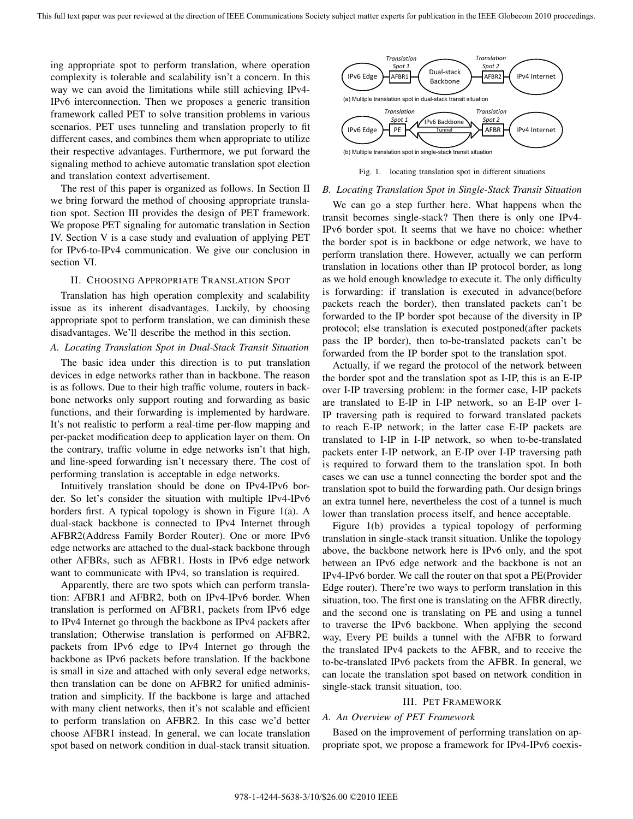ing appropriate spot to perform translation, where operation complexity is tolerable and scalability isn't a concern. In this way we can avoid the limitations while still achieving IPv4- IPv6 interconnection. Then we proposes a generic transition framework called PET to solve transition problems in various scenarios. PET uses tunneling and translation properly to fit different cases, and combines them when appropriate to utilize their respective advantages. Furthermore, we put forward the signaling method to achieve automatic translation spot election and translation context advertisement.

The rest of this paper is organized as follows. In Section II we bring forward the method of choosing appropriate translation spot. Section III provides the design of PET framework. We propose PET signaling for automatic translation in Section IV. Section V is a case study and evaluation of applying PET for IPv6-to-IPv4 communication. We give our conclusion in section VI.

## II. CHOOSING APPROPRIATE TRANSLATION SPOT

Translation has high operation complexity and scalability issue as its inherent disadvantages. Luckily, by choosing appropriate spot to perform translation, we can diminish these disadvantages. We'll describe the method in this section.

# *A. Locating Translation Spot in Dual-Stack Transit Situation*

The basic idea under this direction is to put translation devices in edge networks rather than in backbone. The reason is as follows. Due to their high traffic volume, routers in backbone networks only support routing and forwarding as basic functions, and their forwarding is implemented by hardware. It's not realistic to perform a real-time per-flow mapping and per-packet modification deep to application layer on them. On the contrary, traffic volume in edge networks isn't that high, and line-speed forwarding isn't necessary there. The cost of performing translation is acceptable in edge networks.

Intuitively translation should be done on IPv4-IPv6 border. So let's consider the situation with multiple IPv4-IPv6 borders first. A typical topology is shown in Figure 1(a). A dual-stack backbone is connected to IPv4 Internet through AFBR2(Address Family Border Router). One or more IPv6 edge networks are attached to the dual-stack backbone through other AFBRs, such as AFBR1. Hosts in IPv6 edge network want to communicate with IPv4, so translation is required.

Apparently, there are two spots which can perform translation: AFBR1 and AFBR2, both on IPv4-IPv6 border. When translation is performed on AFBR1, packets from IPv6 edge to IPv4 Internet go through the backbone as IPv4 packets after translation; Otherwise translation is performed on AFBR2, packets from IPv6 edge to IPv4 Internet go through the backbone as IPv6 packets before translation. If the backbone is small in size and attached with only several edge networks, then translation can be done on AFBR2 for unified administration and simplicity. If the backbone is large and attached with many client networks, then it's not scalable and efficient to perform translation on AFBR2. In this case we'd better choose AFBR1 instead. In general, we can locate translation spot based on network condition in dual-stack transit situation.



Fig. 1. locating translation spot in different situations

#### *B. Locating Translation Spot in Single-Stack Transit Situation*

We can go a step further here. What happens when the transit becomes single-stack? Then there is only one IPv4- IPv6 border spot. It seems that we have no choice: whether the border spot is in backbone or edge network, we have to perform translation there. However, actually we can perform translation in locations other than IP protocol border, as long as we hold enough knowledge to execute it. The only difficulty is forwarding: if translation is executed in advance(before packets reach the border), then translated packets can't be forwarded to the IP border spot because of the diversity in IP protocol; else translation is executed postponed(after packets pass the IP border), then to-be-translated packets can't be forwarded from the IP border spot to the translation spot.

Actually, if we regard the protocol of the network between the border spot and the translation spot as I-IP, this is an E-IP over I-IP traversing problem: in the former case, I-IP packets are translated to E-IP in I-IP network, so an E-IP over I-IP traversing path is required to forward translated packets to reach E-IP network; in the latter case E-IP packets are translated to I-IP in I-IP network, so when to-be-translated packets enter I-IP network, an E-IP over I-IP traversing path is required to forward them to the translation spot. In both cases we can use a tunnel connecting the border spot and the translation spot to build the forwarding path. Our design brings an extra tunnel here, nevertheless the cost of a tunnel is much lower than translation process itself, and hence acceptable.

Figure 1(b) provides a typical topology of performing translation in single-stack transit situation. Unlike the topology above, the backbone network here is IPv6 only, and the spot between an IPv6 edge network and the backbone is not an IPv4-IPv6 border. We call the router on that spot a PE(Provider Edge router). There're two ways to perform translation in this situation, too. The first one is translating on the AFBR directly, and the second one is translating on PE and using a tunnel to traverse the IPv6 backbone. When applying the second way, Every PE builds a tunnel with the AFBR to forward the translated IPv4 packets to the AFBR, and to receive the to-be-translated IPv6 packets from the AFBR. In general, we can locate the translation spot based on network condition in single-stack transit situation, too.

## III. PET FRAMEWORK

# *A. An Overview of PET Framework*

Based on the improvement of performing translation on appropriate spot, we propose a framework for IPv4-IPv6 coexis-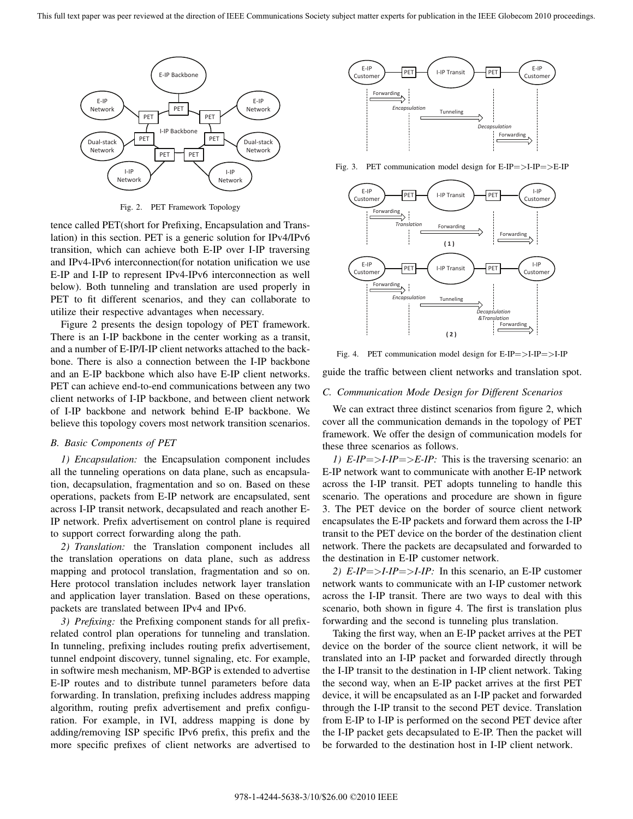

Fig. 2. PET Framework Topology

tence called PET(short for Prefixing, Encapsulation and Translation) in this section. PET is a generic solution for IPv4/IPv6 transition, which can achieve both E-IP over I-IP traversing and IPv4-IPv6 interconnection(for notation unification we use E-IP and I-IP to represent IPv4-IPv6 interconnection as well below). Both tunneling and translation are used properly in PET to fit different scenarios, and they can collaborate to utilize their respective advantages when necessary.

Figure 2 presents the design topology of PET framework. There is an I-IP backbone in the center working as a transit, and a number of E-IP/I-IP client networks attached to the backbone. There is also a connection between the I-IP backbone and an E-IP backbone which also have E-IP client networks. PET can achieve end-to-end communications between any two client networks of I-IP backbone, and between client network of I-IP backbone and network behind E-IP backbone. We believe this topology covers most network transition scenarios.

## *B. Basic Components of PET*

*1) Encapsulation:* the Encapsulation component includes all the tunneling operations on data plane, such as encapsulation, decapsulation, fragmentation and so on. Based on these operations, packets from E-IP network are encapsulated, sent across I-IP transit network, decapsulated and reach another E-IP network. Prefix advertisement on control plane is required to support correct forwarding along the path.

*2) Translation:* the Translation component includes all the translation operations on data plane, such as address mapping and protocol translation, fragmentation and so on. Here protocol translation includes network layer translation and application layer translation. Based on these operations, packets are translated between IPv4 and IPv6.

*3) Prefixing:* the Prefixing component stands for all prefixrelated control plan operations for tunneling and translation. In tunneling, prefixing includes routing prefix advertisement, tunnel endpoint discovery, tunnel signaling, etc. For example, in softwire mesh mechanism, MP-BGP is extended to advertise E-IP routes and to distribute tunnel parameters before data forwarding. In translation, prefixing includes address mapping algorithm, routing prefix advertisement and prefix configuration. For example, in IVI, address mapping is done by adding/removing ISP specific IPv6 prefix, this prefix and the more specific prefixes of client networks are advertised to



Fig. 3. PET communication model design for E-IP=*>*I-IP=*>*E-IP



Fig. 4. PET communication model design for E-IP=*>*I-IP=*>*I-IP

guide the traffic between client networks and translation spot.

# *C. Communication Mode Design for Different Scenarios*

We can extract three distinct scenarios from figure 2, which cover all the communication demands in the topology of PET framework. We offer the design of communication models for these three scenarios as follows.

*1) E-IP*=*>I-IP*=*>E-IP:* This is the traversing scenario: an E-IP network want to communicate with another E-IP network across the I-IP transit. PET adopts tunneling to handle this scenario. The operations and procedure are shown in figure 3. The PET device on the border of source client network encapsulates the E-IP packets and forward them across the I-IP transit to the PET device on the border of the destination client network. There the packets are decapsulated and forwarded to the destination in E-IP customer network.

*2) E-IP*=*>I-IP*=*>I-IP:* In this scenario, an E-IP customer network wants to communicate with an I-IP customer network across the I-IP transit. There are two ways to deal with this scenario, both shown in figure 4. The first is translation plus forwarding and the second is tunneling plus translation.

Taking the first way, when an E-IP packet arrives at the PET device on the border of the source client network, it will be translated into an I-IP packet and forwarded directly through the I-IP transit to the destination in I-IP client network. Taking the second way, when an E-IP packet arrives at the first PET device, it will be encapsulated as an I-IP packet and forwarded through the I-IP transit to the second PET device. Translation from E-IP to I-IP is performed on the second PET device after the I-IP packet gets decapsulated to E-IP. Then the packet will be forwarded to the destination host in I-IP client network.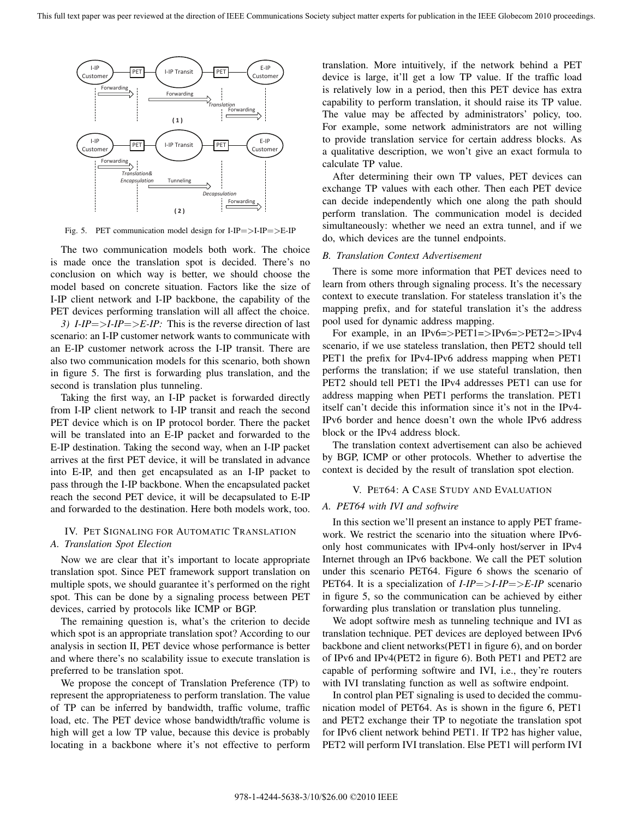

Fig. 5. PET communication model design for I-IP=*>*I-IP=*>*E-IP

The two communication models both work. The choice is made once the translation spot is decided. There's no conclusion on which way is better, we should choose the model based on concrete situation. Factors like the size of I-IP client network and I-IP backbone, the capability of the PET devices performing translation will all affect the choice.

*3) I-IP*=*>I-IP*=*>E-IP:* This is the reverse direction of last scenario: an I-IP customer network wants to communicate with an E-IP customer network across the I-IP transit. There are also two communication models for this scenario, both shown in figure 5. The first is forwarding plus translation, and the second is translation plus tunneling.

Taking the first way, an I-IP packet is forwarded directly from I-IP client network to I-IP transit and reach the second PET device which is on IP protocol border. There the packet will be translated into an E-IP packet and forwarded to the E-IP destination. Taking the second way, when an I-IP packet arrives at the first PET device, it will be translated in advance into E-IP, and then get encapsulated as an I-IP packet to pass through the I-IP backbone. When the encapsulated packet reach the second PET device, it will be decapsulated to E-IP and forwarded to the destination. Here both models work, too.

# IV. PET SIGNALING FOR AUTOMATIC TRANSLATION *A. Translation Spot Election*

Now we are clear that it's important to locate appropriate translation spot. Since PET framework support translation on multiple spots, we should guarantee it's performed on the right spot. This can be done by a signaling process between PET devices, carried by protocols like ICMP or BGP.

The remaining question is, what's the criterion to decide which spot is an appropriate translation spot? According to our analysis in section II, PET device whose performance is better and where there's no scalability issue to execute translation is preferred to be translation spot.

We propose the concept of Translation Preference (TP) to represent the appropriateness to perform translation. The value of TP can be inferred by bandwidth, traffic volume, traffic load, etc. The PET device whose bandwidth/traffic volume is high will get a low TP value, because this device is probably locating in a backbone where it's not effective to perform translation. More intuitively, if the network behind a PET device is large, it'll get a low TP value. If the traffic load is relatively low in a period, then this PET device has extra capability to perform translation, it should raise its TP value. The value may be affected by administrators' policy, too. For example, some network administrators are not willing to provide translation service for certain address blocks. As a qualitative description, we won't give an exact formula to calculate TP value.

After determining their own TP values, PET devices can exchange TP values with each other. Then each PET device can decide independently which one along the path should perform translation. The communication model is decided simultaneously: whether we need an extra tunnel, and if we do, which devices are the tunnel endpoints.

## *B. Translation Context Advertisement*

There is some more information that PET devices need to learn from others through signaling process. It's the necessary context to execute translation. For stateless translation it's the mapping prefix, and for stateful translation it's the address pool used for dynamic address mapping.

For example, in an IPv6=*>*PET1=*>*IPv6=*>*PET2=*>*IPv4 scenario, if we use stateless translation, then PET2 should tell PET1 the prefix for IPv4-IPv6 address mapping when PET1 performs the translation; if we use stateful translation, then PET2 should tell PET1 the IPv4 addresses PET1 can use for address mapping when PET1 performs the translation. PET1 itself can't decide this information since it's not in the IPv4- IPv6 border and hence doesn't own the whole IPv6 address block or the IPv4 address block.

The translation context advertisement can also be achieved by BGP, ICMP or other protocols. Whether to advertise the context is decided by the result of translation spot election.

#### V. PET64: A CASE STUDY AND EVALUATION

## *A. PET64 with IVI and softwire*

In this section we'll present an instance to apply PET framework. We restrict the scenario into the situation where IPv6 only host communicates with IPv4-only host/server in IPv4 Internet through an IPv6 backbone. We call the PET solution under this scenario PET64. Figure 6 shows the scenario of PET64. It is a specialization of *I-IP*=*>I-IP*=*>E-IP* scenario in figure 5, so the communication can be achieved by either forwarding plus translation or translation plus tunneling.

We adopt softwire mesh as tunneling technique and IVI as translation technique. PET devices are deployed between IPv6 backbone and client networks(PET1 in figure 6), and on border of IPv6 and IPv4(PET2 in figure 6). Both PET1 and PET2 are capable of performing softwire and IVI, i.e., they're routers with IVI translating function as well as softwire endpoint.

In control plan PET signaling is used to decided the communication model of PET64. As is shown in the figure 6, PET1 and PET2 exchange their TP to negotiate the translation spot for IPv6 client network behind PET1. If TP2 has higher value, PET2 will perform IVI translation. Else PET1 will perform IVI